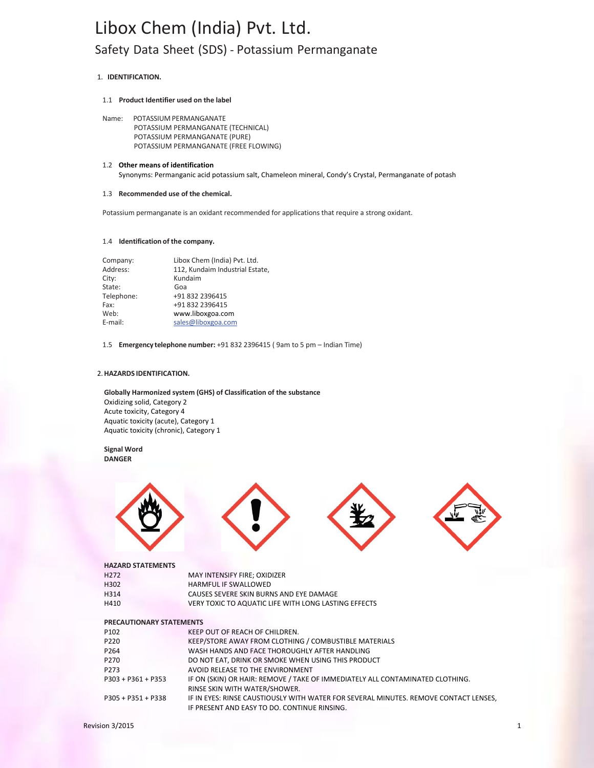# 1. **IDENTIFICATION.**

### 1.1 **Product Identifier used on the label**

Name: POTASSIUM PERMANGANATE POTASSIUM PERMANGANATE (TECHNICAL) POTASSIUM PERMANGANATE (PURE) POTASSIUM PERMANGANATE (FREE FLOWING)

# 1.2 **Other means of identification** Synonyms: Permanganic acid potassium salt, Chameleon mineral, Condy's Crystal, Permanganate of potash

#### 1.3 **Recommended use of the chemical.**

Potassium permanganate is an oxidant recommended for applications that require a strong oxidant.

### 1.4 **Identification of the company.**

| Company:   | Libox Chem (India) Pvt. Ltd.    |  |  |  |
|------------|---------------------------------|--|--|--|
| Address:   | 112, Kundaim Industrial Estate, |  |  |  |
| City:      | Kundaim                         |  |  |  |
| State:     | Goa                             |  |  |  |
| Telephone: | +91 832 2396415                 |  |  |  |
| Fax:       | +91 832 2396415                 |  |  |  |
| Web:       | www.liboxgoa.com                |  |  |  |
| E-mail:    | sales@liboxgoa.com              |  |  |  |

1.5 **Emergency telephone number:** +91 832 2396415 ( 9am to 5 pm – Indian Time)

# 2.**HAZARDS IDENTIFICATION.**

**Globally Harmonized system (GHS) of Classification of the substance**  Oxidizing solid, Category 2 Acute toxicity, Category 4 Aquatic toxicity (acute), Category 1 Aquatic toxicity (chronic), Category 1

**Signal Word DANGER**



#### **HAZARD STATEMENTS**

| H <sub>272</sub>                | MAY INTENSIFY FIRE; OXIDIZER                                                  |
|---------------------------------|-------------------------------------------------------------------------------|
| H302                            | <b>HARMFUL IF SWALLOWED</b>                                                   |
| H314                            | CAUSES SEVERE SKIN BURNS AND EYE DAMAGE                                       |
| H410                            | VERY TOXIC TO AQUATIC LIFE WITH LONG LASTING EFFECTS                          |
|                                 |                                                                               |
| <b>PRECAUTIONARY STATEMENTS</b> |                                                                               |
| P <sub>102</sub>                | KEEP OUT OF REACH OF CHILDREN.                                                |
| P <sub>220</sub>                | KEEP/STORE AWAY FROM CLOTHING / COMBUSTIBLE MATERIALS                         |
| P <sub>264</sub>                | WASH HANDS AND FACE THOROUGHLY AFTER HANDLING                                 |
| P <sub>270</sub>                | DO NOT EAT, DRINK OR SMOKE WHEN USING THIS PRODUCT                            |
| P <sub>273</sub>                | AVOID RELEASE TO THE ENVIRONMENT                                              |
| $P303 + P361 + P353$            | IF ON (SKIN) OR HAIR: REMOVE / TAKE OF IMMEDIATELY ALL CONTAMINATED CLOTHING. |

RINSE SKIN WITH WATER/SHOWER.

| P305 + P351 + P338 | IF IN EYES: RINSE CAUSTIOUSLY WITH WATER FOR SEVERAL MINUTES. REMOVE CONTACT LENSES. |
|--------------------|--------------------------------------------------------------------------------------|
|                    | IF PRESENT AND EASY TO DO. CONTINUE RINSING.                                         |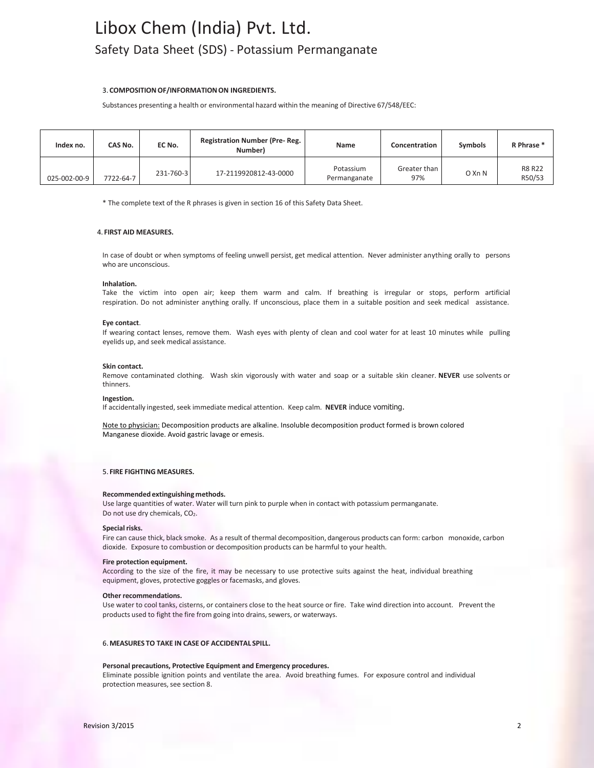## 3. **COMPOSITIONOF/INFORMATIONON INGREDIENTS.**

Substances presenting a health or environmental hazard within the meaning of Directive 67/548/EEC:

| Index no.    | CAS No.   | EC No.    | <b>Registration Number (Pre-Reg.</b><br>Number) | Name                      | <b>Concentration</b> | <b>Symbols</b> | R Phrase *              |
|--------------|-----------|-----------|-------------------------------------------------|---------------------------|----------------------|----------------|-------------------------|
| 025-002-00-9 | 7722-64-7 | 231-760-3 | 17-2119920812-43-0000                           | Potassium<br>Permanganate | Greater than<br>97%  | O Xn N         | <b>R8 R22</b><br>R50/53 |

\* The complete text of the R phrases is given in section 16 of this Safety Data Sheet.

#### 4. **FIRST AID MEASURES.**

In case of doubt or when symptoms of feeling unwell persist, get medical attention. Never administer anything orally to persons who are unconscious.

#### **Inhalation.**

Take the victim into open air; keep them warm and calm. If breathing is irregular or stops, perform artificial respiration. Do not administer anything orally. If unconscious, place them in a suitable position and seek medical assistance.

#### **Eye contact**.

If wearing contact lenses, remove them. Wash eyes with plenty of clean and cool water for at least 10 minutes while pulling eyelids up, and seek medical assistance.

### **Skin contact.**

Remove contaminated clothing. Wash skin vigorously with water and soap or a suitable skin cleaner. **NEVER** use solvents or thinners.

#### **Ingestion.**

If accidentally ingested, seek immediate medical attention. Keep calm. NEVER induce vomiting.

Note to physician: Decomposition products are alkaline. Insoluble decomposition product formed is brown colored Manganese dioxide. Avoid gastric lavage or emesis.

#### 5. **FIRE FIGHTING MEASURES.**

#### **Recommended extinguishing methods.**

Use large quantities of water. Water will turn pink to purple when in contact with potassium permanganate. Do not use dry chemicals, CO<sub>2</sub>.

#### **Special risks.**

Fire can cause thick, black smoke. As a result of thermal decomposition, dangerous products can form: carbon monoxide, carbon dioxide. Exposure to combustion or decomposition products can be harmful to your health.

#### **Fire protection equipment.**

According to the size of the fire, it may be necessary to use protective suits against the heat, individual breathing equipment, gloves, protective goggles or facemasks, and gloves.

## **Other recommendations.**

Use water to cool tanks, cisterns, or containers close to the heat source or fire. Take wind direction into account. Prevent the products used to fight the fire from going into drains, sewers, or waterways.

#### 6.**MEASURES TO TAKE IN CASE OF ACCIDENTAL SPILL.**

#### **Personal precautions, Protective Equipment and Emergency procedures.**

Eliminate possible ignition points and ventilate the area. Avoid breathing fumes. For exposure control and individual protection measures, see section 8.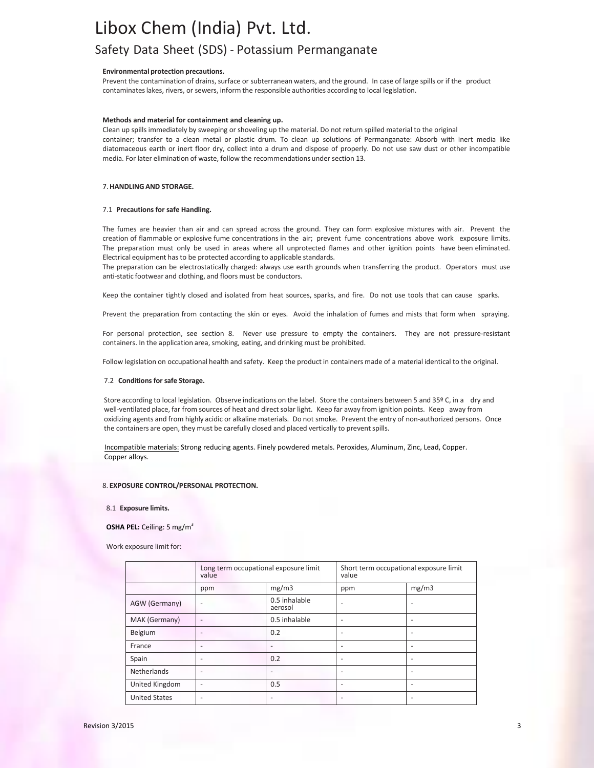#### **Environmental protection precautions.**

Prevent the contamination of drains, surface or subterranean waters, and the ground. In case of large spills or if the product contaminateslakes, rivers, or sewers, inform the responsible authorities according to local legislation.

#### **Methods and material for containment and cleaning up.**

Clean up spills immediately by sweeping or shoveling up the material. Do not return spilled material to the original container; transfer to a clean metal or plastic drum. To clean up solutions of Permanganate: Absorb with inert media like diatomaceous earth or inert floor dry, collect into a drum and dispose of properly. Do not use saw dust or other incompatible media. For later elimination of waste, follow the recommendations under section 13.

#### 7.**HANDLING AND STORAGE.**

### 7.1 **Precautions for safe Handling.**

The fumes are heavier than air and can spread across the ground. They can form explosive mixtures with air. Prevent the creation of flammable or explosive fume concentrations in the air; prevent fume concentrations above work exposure limits. The preparation must only be used in areas where all unprotected flames and other ignition points have been eliminated. Electrical equipment has to be protected according to applicable standards.

The preparation can be electrostatically charged: always use earth grounds when transferring the product. Operators must use anti-static footwear and clothing, and floors must be conductors.

Keep the container tightly closed and isolated from heat sources, sparks, and fire. Do not use tools that can cause sparks.

Prevent the preparation from contacting the skin or eyes. Avoid the inhalation of fumes and mists that form when spraying.

For personal protection, see section 8. Never use pressure to empty the containers. They are not pressure-resistant containers. In the application area, smoking, eating, and drinking must be prohibited.

Follow legislation on occupational health and safety. Keep the product in containers made of a material identical to the original.

#### 7.2 **Conditions for safe Storage.**

Store according to local legislation. Observe indications on the label. Store the containers between 5 and 35º C, in a dry and well-ventilated place, far from sources of heat and direct solar light. Keep far away from ignition points. Keep away from oxidizing agents and from highly acidic or alkaline materials. Do not smoke. Prevent the entry of non-authorized persons. Once the containers are open, they must be carefully closed and placed vertically to preventspills.

 Incompatible materials: Strong reducing agents. Finely powdered metals. Peroxides, Aluminum, Zinc, Lead, Copper. Copper alloys.

#### 8. **EXPOSURE CONTROL/PERSONAL PROTECTION.**

#### 8.1 **Exposure limits.**

#### **OSHA PEL:** Ceiling: 5 mg/m<sup>3</sup>

Work exposure limit for:

|                      | Long term occupational exposure limit<br>value |                          | Short term occupational exposure limit<br>value |       |
|----------------------|------------------------------------------------|--------------------------|-------------------------------------------------|-------|
|                      | ppm                                            | mg/m3                    | ppm                                             | mg/m3 |
| AGW (Germany)        | -                                              | 0.5 inhalable<br>aerosol |                                                 |       |
| MAK (Germany)        | $\overline{\phantom{0}}$                       | 0.5 inhalable            |                                                 |       |
| Belgium              |                                                | 0.2                      |                                                 |       |
| France               |                                                |                          |                                                 |       |
| Spain                |                                                | 0.2                      |                                                 |       |
| Netherlands          | ٠                                              |                          |                                                 |       |
| United Kingdom       | $\overline{\phantom{0}}$                       | 0.5                      |                                                 |       |
| <b>United States</b> |                                                |                          |                                                 |       |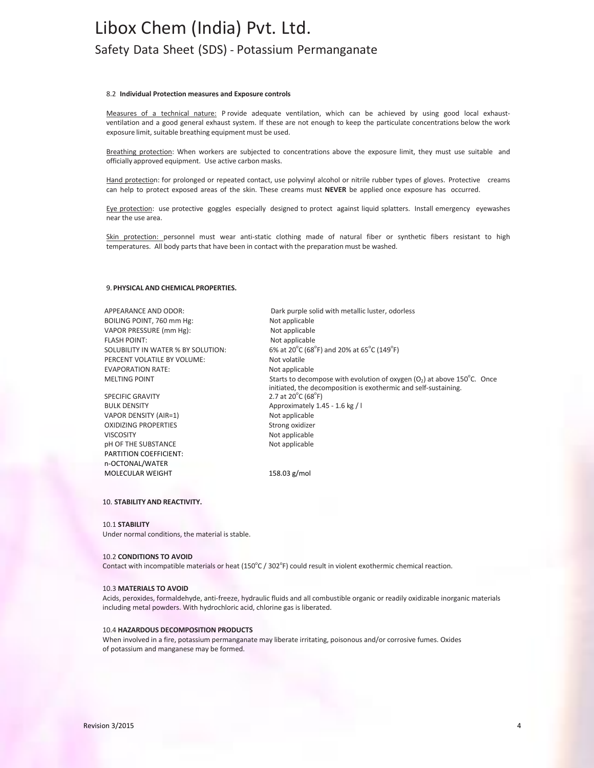### 8.2 **Individual Protection measures and Exposure controls**

Measures of a technical nature: P rovide adequate ventilation, which can be achieved by using good local exhaustventilation and a good general exhaust system. If these are not enough to keep the particulate concentrations below the work exposure limit, suitable breathing equipment must be used.

Breathing protection: When workers are subjected to concentrations above the exposure limit, they must use suitable and officially approved equipment. Use active carbon masks.

Hand protection: for prolonged or repeated contact, use polyvinyl alcohol or nitrile rubber types of gloves. Protective creams can help to protect exposed areas of the skin. These creams must **NEVER** be applied once exposure has occurred.

Eye protection: use protective goggles especially designed to protect against liquid splatters. Install emergency eyewashes near the use area.

Skin protection: personnel must wear anti-static clothing made of natural fiber or synthetic fibers resistant to high temperatures. All body parts that have been in contact with the preparation must be washed.

#### 9. **PHYSICAL AND CHEMICAL PROPERTIES.**

BOILING POINT, 760 mm Hg: Not applicable VAPOR PRESSURE (mm Hg): Not applicable FLASH POINT: Not applicable SOLUBILITY IN WATER % BY SOLUTION: PERCENT VOLATILE BY VOLUME: Not volatile EVAPORATION RATE:<br>
MELTING POINT<br>
MELTING POINT

MELTING POINT

SPECIFIC GRAVITY VAPOR DENSITY (AIR=1) Not applicable OXIDIZING PROPERTIES Strong oxidizer VISCOSITY Not applicable pH OF THE SUBSTANCE Not applicable PARTITION COEFFICIENT: n-OCTONAL/WATER MOLECULAR WEIGHT 158.03 g/mol

APPEARANCE AND ODOR: Dark purple solid with metallic luster, odorless  $C(68^{\circ}F)$  and 20% at 65 $^{\circ}C(149^{\circ}F)$ MELTING POINT **Starts to decompose with evolution of oxygen (O**<sub>2</sub>) at above 150°C. Once initiated, the decomposition is exothermic and self-sustaining.  $C(68^{\circ}F)$ BULK DENSITY Approximately 1.45 - 1.6 kg / l

# 10. **STABILITY AND REACTIVITY.**

#### 10.1 **STABILITY**

Under normal conditions, the material is stable.

#### 10.2 **CONDITIONS TO AVOID**

Contact with incompatible materials or heat  $(150^{\circ}C/302^{\circ}F)$  could result in violent exothermic chemical reaction.

#### 10.3 **MATERIALS TO AVOID**

Acids, peroxides, formaldehyde, anti-freeze, hydraulic fluids and all combustible organic or readily oxidizable inorganic materials including metal powders. With hydrochloric acid, chlorine gas is liberated.

#### 10.4 **HAZARDOUS DECOMPOSITION PRODUCTS**

When involved in a fire, potassium permanganate may liberate irritating, poisonous and/or corrosive fumes. Oxides of potassium and manganese may be formed.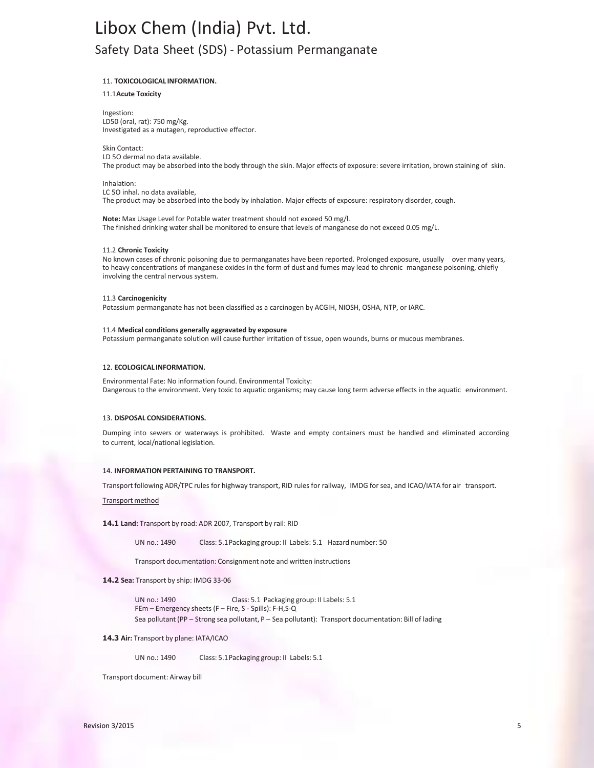# 11. **TOXICOLOGICAL INFORMATION.**

11.1**Acute Toxicity**

Ingestion: LD50 (oral, rat): 750 mg/Kg. Investigated as a mutagen, reproductive effector.

Skin Contact: LD 5O dermal no data available. The product may be absorbed into the body through the skin. Major effects of exposure: severe irritation, brown staining of skin.

Inhalation: LC 5O inhal. no data available, The product may be absorbed into the body by inhalation. Major effects of exposure: respiratory disorder, cough.

**Note:** Max Usage Level for Potable water treatment should not exceed 50 mg/l. The finished drinking water shall be monitored to ensure that levels of manganese do not exceed 0.05 mg/L.

#### 11.2 **Chronic Toxicity**

No known cases of chronic poisoning due to permanganates have been reported. Prolonged exposure, usually over many years, to heavy concentrations of manganese oxides in the form of dust and fumes may lead to chronic manganese poisoning, chiefly involving the central nervous system.

#### 11.3 **Carcinogenicity**

Potassium permanganate has not been classified as a carcinogen by ACGIH, NIOSH, OSHA, NTP, or IARC.

#### 11.4 **Medical conditions generally aggravated by exposure**

Potassium permanganate solution will cause further irritation of tissue, open wounds, burns or mucous membranes.

#### 12. **ECOLOGICAL INFORMATION.**

Environmental Fate: No information found. Environmental Toxicity: Dangerous to the environment. Very toxic to aquatic organisms; may cause long term adverse effects in the aquatic environment.

#### 13. **DISPOSAL CONSIDERATIONS.**

Dumping into sewers or waterways is prohibited. Waste and empty containers must be handled and eliminated according to current, local/national legislation.

#### 14. **INFORMATIONPERTAININGTO TRANSPORT.**

Transport following ADR/TPC rules for highway transport, RID rules for railway, IMDG for sea, and ICAO/IATA for air transport.

Transport method

#### **14.1 Land:** Transport by road: ADR 2007, Transport by rail: RID

UN no.: 1490 Class: 5.1Packaging group: II Labels: 5.1 Hazard number: 50

Transport documentation: Consignment note and written instructions

#### **14.2 Sea:** Transport by ship: IMDG 33-06

UN no.: 1490 Class: 5.1 Packaging group: II Labels: 5.1 FEm – Emergency sheets (F – Fire, S - Spills): F-H,S-Q Sea pollutant (PP – Strong sea pollutant, P – Sea pollutant): Transport documentation: Bill of lading

# **14.3 Air:** Transport by plane: IATA/ICAO

UN no.: 1490 Class: 5.1Packaging group: II Labels: 5.1

Transport document: Airway bill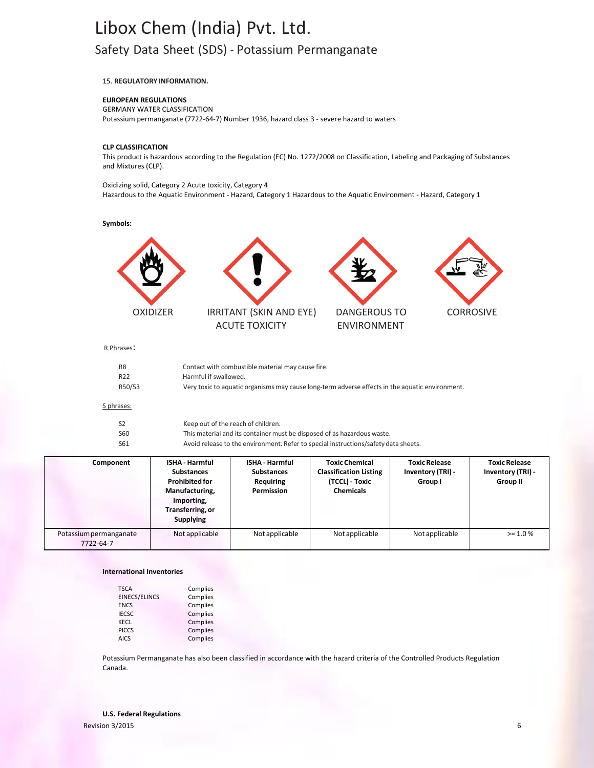15. **REGULATORY INFORMATION.**

## **EUROPEAN REGULATIONS**

GERMANY WATER CLASSIFICATION Potassium permanganate (7722-64-7) Number 1936, hazard class 3 - severe hazard to waters

### **CLP CLASSIFICATION**

This product is hazardous according to the Regulation (EC) No. 1272/2008 on Classification, Labeling and Packaging of Substances and Mixtures (CLP).

Oxidizing solid, Category 2 Acute toxicity, Category 4 Hazardous to the Aquatic Environment - Hazard, Category 1 Hazardous to the Aquatic Environment - Hazard, Category 1

# **Symbols:**





ACUTE TOXICITY ENVIRONMENT



## R Phrases:

| R <sub>8</sub>  | Contact with combustible material may cause fire.                                               |
|-----------------|-------------------------------------------------------------------------------------------------|
| R <sub>22</sub> | Harmful if swallowed.                                                                           |
| R50/53          | Very toxic to aquatic organisms may cause long-term adverse effects in the aquatic environment. |
| phrases:        |                                                                                                 |

# $\overline{\mathsf{S}}$  p

|      | Keep out of the reach of children.                                                  |
|------|-------------------------------------------------------------------------------------|
| S60  | This material and its container must be disposed of as hazardous waste.             |
| -S61 | Avoid release to the environment. Refer to special instructions/safety data sheets. |

| Component                           | <b>ISHA - Harmful</b><br><b>Substances</b><br><b>Prohibited for</b><br>Manufacturing,<br>Importing,<br>Transferring, or<br><b>Supplying</b> | <b>ISHA - Harmful</b><br><b>Substances</b><br>Requiring<br>Permission | <b>Toxic Chemical</b><br><b>Classification Listing</b><br>(TCCL) - Toxic<br><b>Chemicals</b> | <b>Toxic Release</b><br>Inventory (TRI) -<br>Group I | <b>Toxic Release</b><br>Inventory (TRI) -<br><b>Group II</b> |
|-------------------------------------|---------------------------------------------------------------------------------------------------------------------------------------------|-----------------------------------------------------------------------|----------------------------------------------------------------------------------------------|------------------------------------------------------|--------------------------------------------------------------|
| Potassium permanganate<br>7722-64-7 | Not applicable                                                                                                                              | Not applicable                                                        | Not applicable                                                                               | Not applicable                                       | $> = 1.0 \%$                                                 |

# **International Inventories**

| <b>TSCA</b>          | Complies |
|----------------------|----------|
| <b>EINECS/ELINCS</b> | Complies |
| <b>ENCS</b>          | Complies |
| <b>IECSC</b>         | Complies |
| KECL                 | Complies |
| <b>PICCS</b>         | Complies |
| <b>AICS</b>          | Complies |

Potassium Permanganate has also been classified in accordance with the hazard criteria of the Controlled Products Regulation Canada.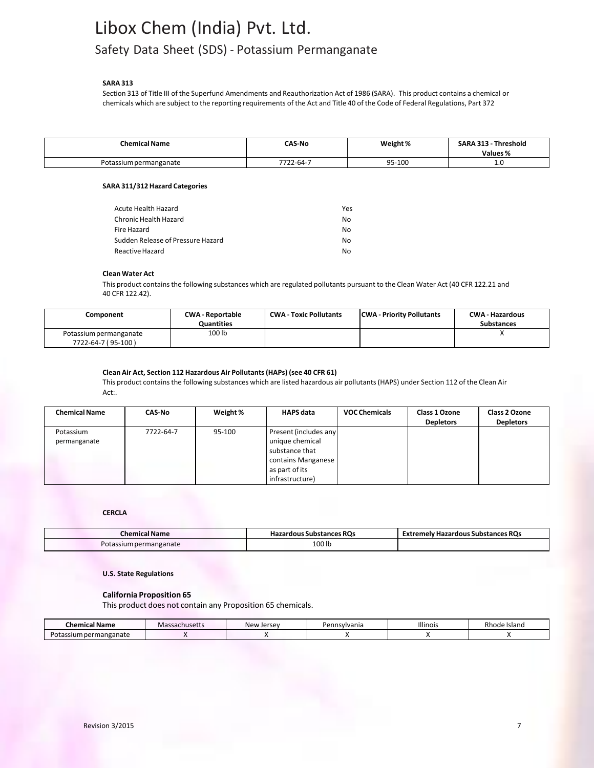# **SARA 313**

Section 313 of Title III of the Superfund Amendments and Reauthorization Act of 1986 (SARA). This product contains a chemical or chemicals which are subject to the reporting requirements of the Act and Title 40 of the Code of Federal Regulations, Part 372

| <b>Chemical Name</b>   | <b>CAS-No</b>          | Weight % | Threshold<br><b>SARA 313</b><br><b>Values</b> % |
|------------------------|------------------------|----------|-------------------------------------------------|
| Potassium permanganate | 7722<br>$.22 - 64 - 7$ | 95-100   | ……<br>__                                        |

# **SARA 311/312 Hazard Categories**

| Acute Health Hazard               | Yes |
|-----------------------------------|-----|
| Chronic Health Hazard             | No  |
| Fire Hazard                       | No  |
| Sudden Release of Pressure Hazard | No  |
| Reactive Hazard                   | N٥  |

# **Clean Water Act**

This product contains the following substances which are regulated pollutants pursuant to the Clean Water Act (40 CFR 122.21 and 40 CFR 122.42).

| Component                                    | <b>CWA-Reportable</b><br><b>Quantities</b> | <b>CWA - Toxic Pollutants</b> | <b>CWA</b> - Priority Pollutants | <b>CWA - Hazardous</b><br><b>Substances</b> |
|----------------------------------------------|--------------------------------------------|-------------------------------|----------------------------------|---------------------------------------------|
| Potassium permanganate<br>7722-64-7 (95-100) | 100 lb                                     |                               |                                  |                                             |

# **Clean Air Act, Section 112 Hazardous Air Pollutants(HAPs) (see 40 CFR 61)**

This product containsthe following substances which are listed hazardous air pollutants(HAPS) under Section 112 of the Clean Air Act:.

| <b>Chemical Name</b> | CAS No    | Weight % | <b>HAPS data</b>      | <b>VOC Chemicals</b> | Class 1 Ozone<br><b>Depletors</b> | Class 2 Ozone<br><b>Depletors</b> |
|----------------------|-----------|----------|-----------------------|----------------------|-----------------------------------|-----------------------------------|
| Potassium            | 7722-64-7 | 95-100   | Present (includes any |                      |                                   |                                   |
| permanganate         |           |          | unique chemical       |                      |                                   |                                   |
|                      |           |          | substance that        |                      |                                   |                                   |
|                      |           |          | contains Manganese    |                      |                                   |                                   |
|                      |           |          | as part of its        |                      |                                   |                                   |
|                      |           |          | infrastructure)       |                      |                                   |                                   |

# **CERCLA**

| Chemical Name          | <b>Hazardous Substances ROs</b> | <b>Extremely Hazardous Substances ROs</b> |
|------------------------|---------------------------------|-------------------------------------------|
| Potassium permanganate | 100 lb                          |                                           |

**U.S. State Regulations**

# **California Proposition 65**

This product does not contain any Proposition 65 chemicals.

| omical Name<br>uner.            | . <b>. .</b> .<br>ssachusetts<br>vidS | New Jersey | ารvlvania<br>еш | Illinois | -Island<br>knode |
|---------------------------------|---------------------------------------|------------|-----------------|----------|------------------|
| rmanganate<br>ssium<br>υια<br>. |                                       |            |                 |          |                  |